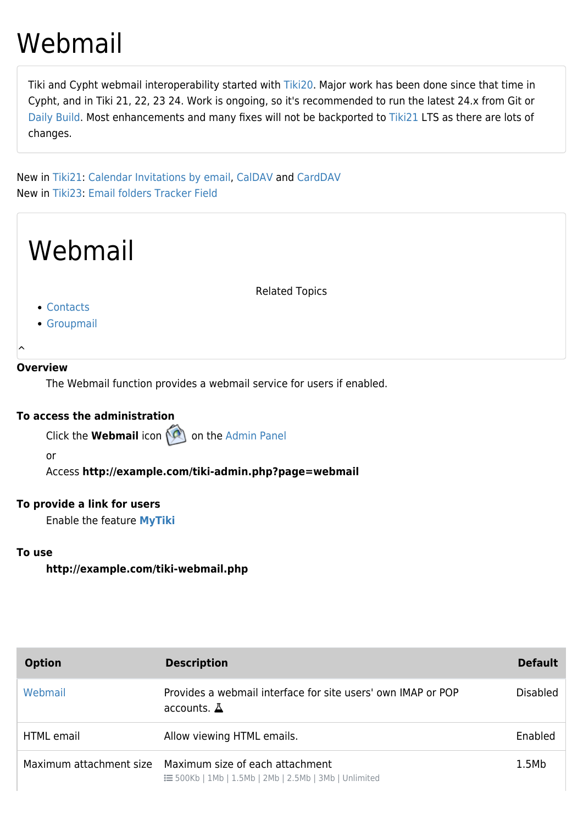# Webmail

Tiki and Cypht webmail interoperability started with [Tiki20.](https://doc.tiki.org/Tiki20) Major work has been done since that time in Cypht, and in Tiki 21, 22, 23 24. Work is ongoing, so it's recommended to run the latest 24.x from Git or [Daily Build.](http://dev.tiki.org/Daily%20Build) Most enhancements and many fixes will not be backported to [Tiki21](https://doc.tiki.org/Tiki21) LTS as there are lots of changes.

New in [Tiki21:](https://doc.tiki.org/Tiki21) [Calendar Invitations by email,](https://doc.tiki.org/Calendar-Invitations-by-email) [CalDAV](https://doc.tiki.org/CalDAV) and [CardDAV](https://doc.tiki.org/CardDAV) New in [Tiki23:](https://doc.tiki.org/Tiki23) [Email folders Tracker Field](https://doc.tiki.org/Email-folders-Tracker-Field)



#### **To access the administration**

Click the **Webmail** icon **on** the [Admin Panel](https://doc.tiki.org/Admin-Panels)

or

Access **http://example.com/tiki-admin.php?page=webmail**

### **To provide a link for users**

Enable the feature **[MyTiki](https://doc.tiki.org/MyTiki)**

#### **To use**

**http://example.com/tiki-webmail.php**

| <b>Option</b>     | <b>Description</b>                                                                                                      | <b>Default</b>  |
|-------------------|-------------------------------------------------------------------------------------------------------------------------|-----------------|
| Webmail           | Provides a webmail interface for site users' own IMAP or POP<br>accounts. $\Delta$                                      | <b>Disabled</b> |
| <b>HTML</b> email | Allow viewing HTML emails.                                                                                              | Enabled         |
|                   | Maximum attachment size Maximum size of each attachment<br>$\equiv$ 500Kb   1Mb   1.5Mb   2Mb   2.5Mb   3Mb   Unlimited | 1.5Mb           |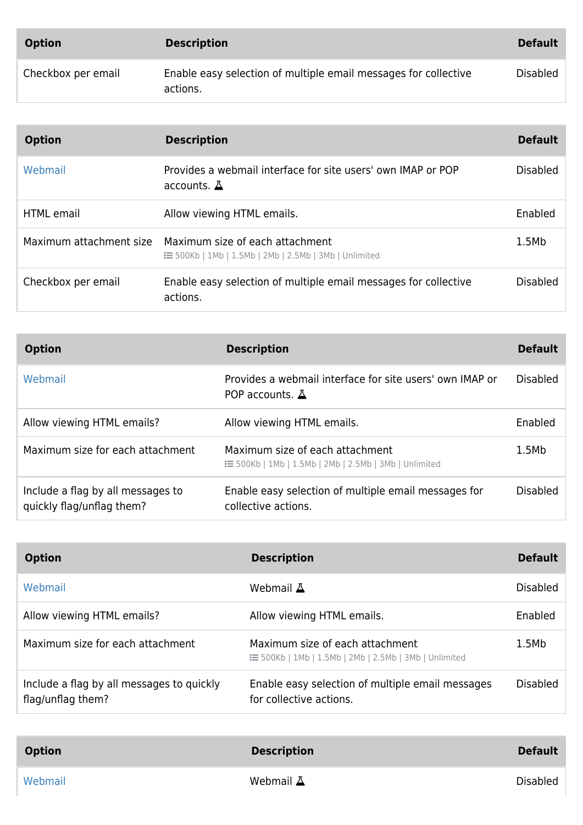| <b>Option</b>      | <b>Description</b>                                                          | <b>Default</b>  |
|--------------------|-----------------------------------------------------------------------------|-----------------|
| Checkbox per email | Enable easy selection of multiple email messages for collective<br>actions. | <b>Disabled</b> |

| <b>Option</b>           | <b>Description</b>                                                                               | <b>Default</b>  |
|-------------------------|--------------------------------------------------------------------------------------------------|-----------------|
| Webmail                 | Provides a webmail interface for site users' own IMAP or POP<br>accounts. $\Delta$               | <b>Disabled</b> |
| <b>HTML</b> email       | Allow viewing HTML emails.                                                                       | Enabled         |
| Maximum attachment size | Maximum size of each attachment<br><b>IE</b> 500Kb   1Mb   1.5Mb   2Mb   2.5Mb   3Mb   Unlimited | 1.5Mb           |
| Checkbox per email      | Enable easy selection of multiple email messages for collective<br>actions.                      | <b>Disabled</b> |

| <b>Option</b>                                                  | <b>Description</b>                                                                         | <b>Default</b>  |
|----------------------------------------------------------------|--------------------------------------------------------------------------------------------|-----------------|
| Webmail                                                        | Provides a webmail interface for site users' own IMAP or<br>POP accounts. $\Delta$         | <b>Disabled</b> |
| Allow viewing HTML emails?                                     | Allow viewing HTML emails.                                                                 | Enabled         |
| Maximum size for each attachment                               | Maximum size of each attachment<br>: ≡ 500Kb   1Mb   1.5Mb   2Mb   2.5Mb   3Mb   Unlimited | 1.5Mb           |
| Include a flag by all messages to<br>quickly flag/unflag them? | Enable easy selection of multiple email messages for<br>collective actions.                | <b>Disabled</b> |

| <b>Option</b>                                                  | <b>Description</b>                                                                               | <b>Default</b>  |
|----------------------------------------------------------------|--------------------------------------------------------------------------------------------------|-----------------|
| Webmail                                                        | Webmail A                                                                                        | <b>Disabled</b> |
| Allow viewing HTML emails?                                     | Allow viewing HTML emails.                                                                       | Enabled         |
| Maximum size for each attachment                               | Maximum size of each attachment<br><b>IE</b> 500Kb   1Mb   1.5Mb   2Mb   2.5Mb   3Mb   Unlimited | 1.5Mb           |
| Include a flag by all messages to quickly<br>flag/unflag them? | Enable easy selection of multiple email messages<br>for collective actions.                      | <b>Disabled</b> |

| <b>Option</b> | <b>Description</b> | <b>Default</b> |
|---------------|--------------------|----------------|
| Webmail       | Webmail $\Delta$   | Disabled       |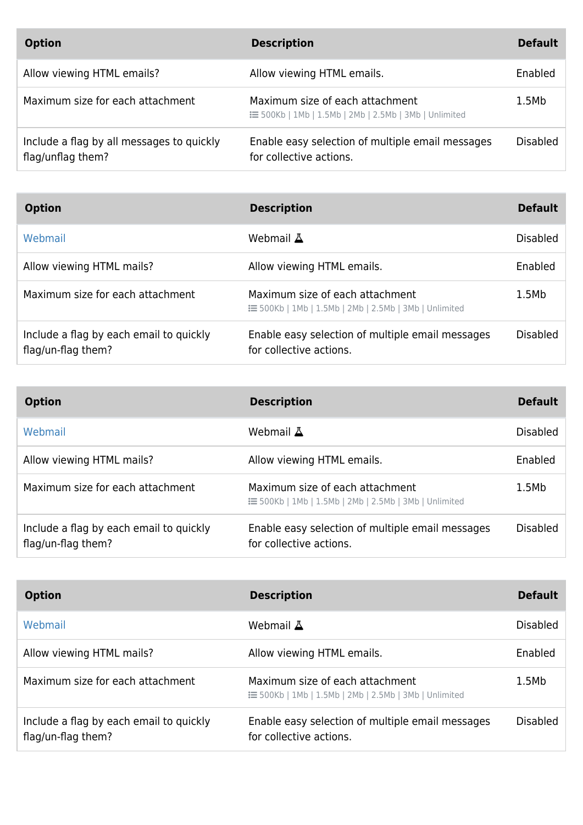| <b>Option</b>                                                  | <b>Description</b>                                                                              | <b>Default</b> |
|----------------------------------------------------------------|-------------------------------------------------------------------------------------------------|----------------|
| Allow viewing HTML emails?                                     | Allow viewing HTML emails.                                                                      | Enabled        |
| Maximum size for each attachment                               | Maximum size of each attachment<br>$\equiv$ 500Kb   1Mb   1.5Mb   2Mb   2.5Mb   3Mb   Unlimited | 1.5Mb          |
| Include a flag by all messages to quickly<br>flag/unflag them? | Enable easy selection of multiple email messages<br>for collective actions.                     | Disabled       |

| <b>Option</b>                                                 | <b>Description</b>                                                                         | <b>Default</b>  |
|---------------------------------------------------------------|--------------------------------------------------------------------------------------------|-----------------|
| Webmail                                                       | Webmail A                                                                                  | <b>Disabled</b> |
| Allow viewing HTML mails?                                     | Allow viewing HTML emails.                                                                 | Enabled         |
| Maximum size for each attachment                              | Maximum size of each attachment<br>: ≡ 500Kb   1Mb   1.5Mb   2Mb   2.5Mb   3Mb   Unlimited | 1.5Mb           |
| Include a flag by each email to quickly<br>flag/un-flag them? | Enable easy selection of multiple email messages<br>for collective actions.                | <b>Disabled</b> |

| <b>Option</b>                                                 | <b>Description</b>                                                                               | <b>Default</b> |
|---------------------------------------------------------------|--------------------------------------------------------------------------------------------------|----------------|
| Webmail                                                       | Webmail A                                                                                        | Disabled       |
| Allow viewing HTML mails?                                     | Allow viewing HTML emails.                                                                       | Enabled        |
| Maximum size for each attachment                              | Maximum size of each attachment<br><b>IE</b> 500Kb   1Mb   1.5Mb   2Mb   2.5Mb   3Mb   Unlimited | 1.5Mb          |
| Include a flag by each email to quickly<br>flag/un-flag them? | Enable easy selection of multiple email messages<br>for collective actions.                      | Disabled       |

| <b>Option</b>                                                 | <b>Description</b>                                                                               | <b>Default</b>  |
|---------------------------------------------------------------|--------------------------------------------------------------------------------------------------|-----------------|
| Webmail                                                       | Webmail A                                                                                        | <b>Disabled</b> |
| Allow viewing HTML mails?                                     | Allow viewing HTML emails.                                                                       | Enabled         |
| Maximum size for each attachment                              | Maximum size of each attachment<br><b>IE</b> 500Kb   1Mb   1.5Mb   2Mb   2.5Mb   3Mb   Unlimited | 1.5Mb           |
| Include a flag by each email to quickly<br>flag/un-flag them? | Enable easy selection of multiple email messages<br>for collective actions.                      | <b>Disabled</b> |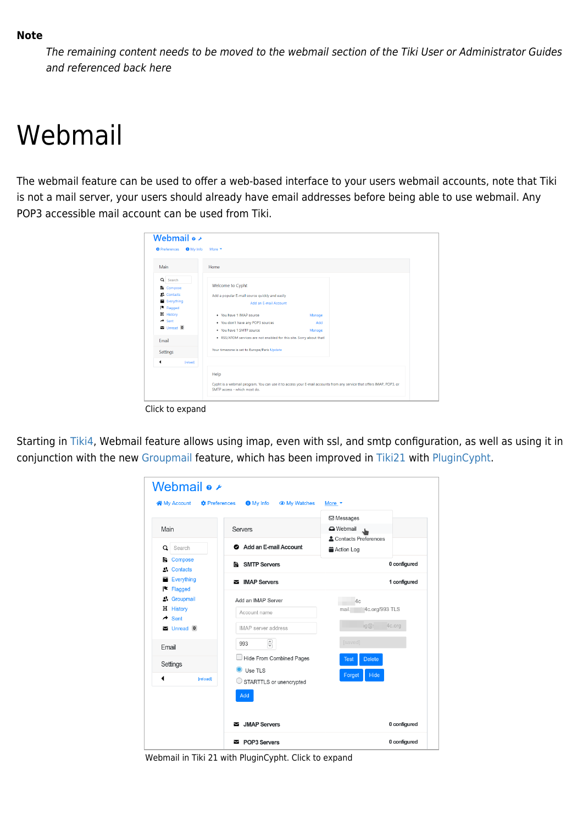The remaining content needs to be moved to the webmail section of the Tiki User or Administrator Guides and referenced back here

## Webmail

The webmail feature can be used to offer a web-based interface to your users webmail accounts, note that Tiki is not a mail server, your users should already have email addresses before being able to use webmail. Any POP3 accessible mail account can be used from Tiki.

| Main                                                                                                                                        | Home                                                                                                                                                                                                                                                                                        |
|---------------------------------------------------------------------------------------------------------------------------------------------|---------------------------------------------------------------------------------------------------------------------------------------------------------------------------------------------------------------------------------------------------------------------------------------------|
| Q Search<br><b>L</b> Compose<br><b>A</b> Contacts<br>Everything<br><b>E</b> Flagged<br>H History<br>$\rightarrow$ Sent<br>Unread 0<br>Email | Welcome to Cypht<br>Add a popular E-mail source quickly and easily<br>Add an E-mail Account<br>. You have 1 IMAP source<br>Manage<br>. You don't have any POP3 sources<br>Add<br>. You have 1 SMTP source<br>Manage<br>. RSS/ATOM services are not enabled for this site. Sorry about that! |
| Settings<br>[reload]                                                                                                                        | Your timezone is set to Europe/Paris Update                                                                                                                                                                                                                                                 |
| ◀                                                                                                                                           | Help<br>Cypht is a webmail program. You can use it to access your E-mail accounts from any service that offers IMAP, POP3, or<br>SMTP access - which most do.                                                                                                                               |

Starting in [Tiki4](https://doc.tiki.org/Tiki4), Webmail feature allows using imap, even with ssl, and smtp configuration, as well as using it in

conjunction with the new [Groupmail](https://doc.tiki.org/Groupmail) feature, which has been improved in [Tiki21](https://doc.tiki.org/Tiki21) with [PluginCypht](https://doc.tiki.org/PluginCypht).

|                                                            |                                    | <b>⊠</b> Messages                              |
|------------------------------------------------------------|------------------------------------|------------------------------------------------|
| Main                                                       | <b>Servers</b>                     | <b>O</b> Webmail<br>J.<br>Contacts Preferences |
| Q Search                                                   | Add an E-mail Account              | <b>自 Action Log</b>                            |
| <b>Le</b> Compose<br>2. Contacts                           | <b>B</b> SMTP Servers              | 0 configured                                   |
| Everything                                                 | MAP Servers                        | 1 configured                                   |
| $\blacktriangleright$ Flagged<br>2. Groupmail<br>H History | Add an IMAP Server<br>Account name | 4c<br>4c.org/993 TLS<br>mail.                  |
| $\rightarrow$ Sent<br>$\sum$ Unread $\boxed{0}$            | IMAP server address                | $\Box$ $\Box$<br>4c.org                        |
| Email                                                      | $\hat{\mathbf{c}}$<br>993          | [saved]                                        |
| Settings                                                   | <b>Hide From Combined Pages</b>    | <b>Delete</b><br><b>Test</b>                   |
| ◀<br>[reload]                                              | Use TLS<br>STARTTLS or unencrypted | Hide<br>Forget                                 |
|                                                            | Add                                |                                                |

Webmail in Tiki 21 with PluginCypht. Click to expand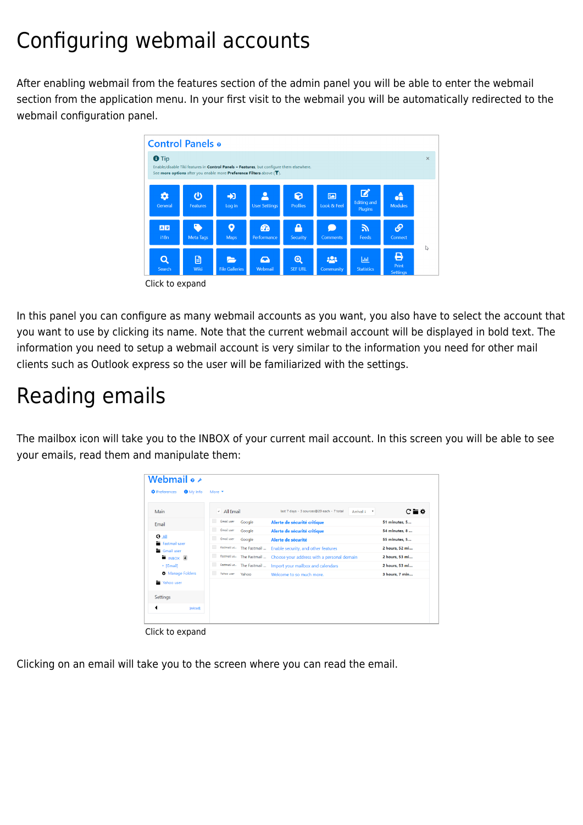## Configuring webmail accounts

After enabling webmail from the features section of the admin panel you will be able to enter the webmail section from the application menu. In your first visit to the webmail you will be automatically redirected to the webmail configuration panel.



In this panel you can configure as many webmail accounts as you want, you also have to select the account that you want to use by clicking its name. Note that the current webmail account will be displayed in bold text. The information you need to setup a webmail account is very similar to the information you need for other mail clients such as Outlook express so the user will be familiarized with the settings.

## Reading emails

The mailbox icon will take you to the INBOX of your current mail account. In this screen you will be able to see your emails, read them and manipulate them:

| <b>C</b> Preferences<br><b>O</b> My Info | More $\blacktriangledown$ |                          |                                                                      |             |                |
|------------------------------------------|---------------------------|--------------------------|----------------------------------------------------------------------|-------------|----------------|
| Main                                     | ← All Email               |                          | last 7 days - 3 sources@20 each - 7 total                            | Arrival 1 * | $C = \Phi$     |
| Email                                    | Gmail user                | Google                   | Alerte de sécurité critique                                          |             | 51 minutes, 5  |
|                                          | $\Box$<br>Gmail user      | Google                   | Alerte de sécurité critique                                          |             | 54 minutes, 8  |
| <b>O</b> All<br>Fastmail user            | ▥<br>Gmail user           | Google                   | Alerte de sécurité                                                   |             | 55 minutes, 5  |
| Gmail user                               |                           | Fastmail us The Fastmail | Enable security, and other features                                  |             | 2 hours, 52 mi |
| $\blacksquare$ INBOX 4                   |                           |                          | Fostmail us The Fastmail  Choose your address with a personal domain |             | 2 hours, 53 mi |
| + [Gmail]                                | $\blacksquare$            |                          | Fastmail us The Fastmail  Import your mailbox and calendars          |             | 2 hours, 53 mi |
| <b>D</b> Manage Folders                  | Yahoo user                | Yahoo                    | Welcome to so much more.                                             |             | 3 hours, 7 min |
| Yahoo user                               |                           |                          |                                                                      |             |                |
| Settings                                 |                           |                          |                                                                      |             |                |
| ◀<br><b>freload1</b>                     |                           |                          |                                                                      |             |                |

Click to expand

Clicking on an email will take you to the screen where you can read the email.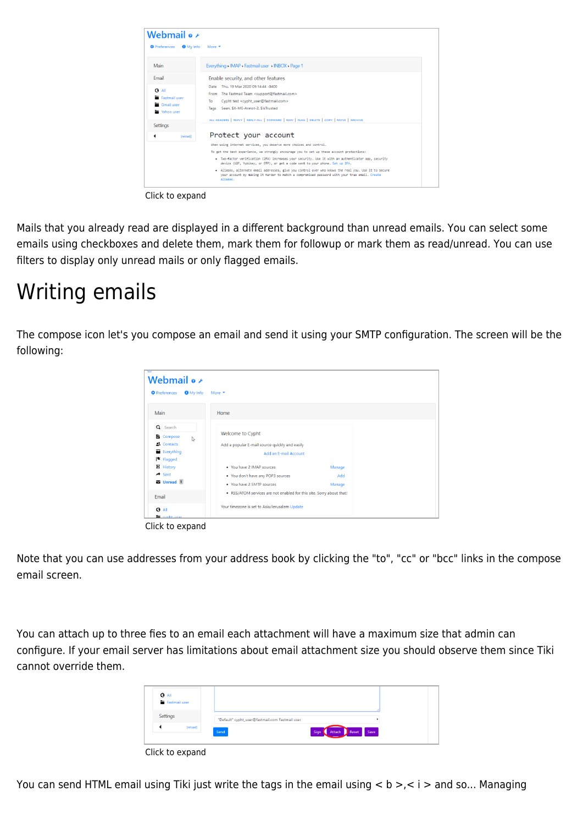| Webmail $\bullet \star$                                |                                                                                                                                                                                                                   |
|--------------------------------------------------------|-------------------------------------------------------------------------------------------------------------------------------------------------------------------------------------------------------------------|
| <b><i><u>O</u></i></b> Preferences<br><b>O</b> My Info | More $\blacktriangledown$                                                                                                                                                                                         |
| Main                                                   | Everything > IMAP > Fastmail user > INBOX > Page 1                                                                                                                                                                |
| Email                                                  | Enable security, and other features                                                                                                                                                                               |
|                                                        | Thu. 19 Mar 2020 09:14:44 -0400<br>Date                                                                                                                                                                           |
| <b>O</b> All<br>Fastmail user                          | The Fastmail Team <support@fastmail.com><br/>From</support@fastmail.com>                                                                                                                                          |
| Gmail user                                             | Cypht test <cypht_user@fastmail.com><br/>To</cypht_user@fastmail.com>                                                                                                                                             |
| Yahoo user                                             | Seen, SX-ME-Annot-2, SIsTrusted<br>Tags                                                                                                                                                                           |
| Settings                                               | ALL HEADERS   REPLY   REPLY-ALL   FORWARD   RAW   FLAG   DELETE   COPY   MOVE   ARCHIVE                                                                                                                           |
| ◀<br><b>Ireload1</b>                                   | Protect your account                                                                                                                                                                                              |
|                                                        | When using internet services, you deserve more choices and control.                                                                                                                                               |
|                                                        | To get the best experience, we strongly encourage you to set up these account protections:                                                                                                                        |
|                                                        | . Two-factor verification (2FA) increases your security. Use it with an authenticator app, security<br>device (U2F, Yubikey, or OTP), or get a code sent to your phone. Set up 2FA.                               |
|                                                        | . Aliases, alternate email addresses, give you control over who knows the real you. Use it to secure<br>your account by making it harder to match a compromised password with your true email. Create<br>aliases. |

Click to expand

Mails that you already read are displayed in a different background than unread emails. You can select some emails using checkboxes and delete them, mark them for followup or mark them as read/unread. You can use filters to display only unread mails or only flagged emails.

### Writing emails

The compose icon let's you compose an email and send it using your SMTP configuration. The screen will be the following:

| Webmail o $\nu$                                                                                                                                  |                                                                                                                                                               |               |  |
|--------------------------------------------------------------------------------------------------------------------------------------------------|---------------------------------------------------------------------------------------------------------------------------------------------------------------|---------------|--|
| <b>C</b> Preferences<br><b>O</b> My Info                                                                                                         | More $\blacktriangleright$                                                                                                                                    |               |  |
| Main                                                                                                                                             | Home                                                                                                                                                          |               |  |
| Q Search<br><b>L</b> Compose<br>r,<br><b>A</b> Contacts<br>Everything<br>$\blacktriangleright$ Flagged<br><b>H</b> History<br>$\rightarrow$ Sent | Welcome to Cypht<br>Add a popular E-mail source quickly and easily<br>Add an E-mail Account<br>• You have 2 IMAP sources<br>• You don't have any POP3 sources | Manage<br>Add |  |
| Unread <sub>1</sub><br>Email                                                                                                                     | • You have 2 SMTP sources<br>. RSS/ATOM services are not enabled for this site. Sorry about that!                                                             | Manage        |  |
| <b>G</b> All<br>$\equiv$ cypht user                                                                                                              | Your timezone is set to Asia/Jerusalem Update                                                                                                                 |               |  |

Click to expand

Note that you can use addresses from your address book by clicking the "to", "cc" or "bcc" links in the compose email screen.

You can attach up to three fies to an email each attachment will have a maximum size that admin can configure. If your email server has limitations about email attachment size you should observe them since Tiki cannot override them.

| <b>O</b> All<br>Fastmail user |                                                 |
|-------------------------------|-------------------------------------------------|
| Settings                      | "Default" cypht_user@fastmail.com Fastmail user |
| [reload]                      | Attach Reset Save<br>Send<br>Sign               |

Click to expand

You can send HTML email using Tiki just write the tags in the email using  $\lt b$  >, $\lt i$  > and so... Managing